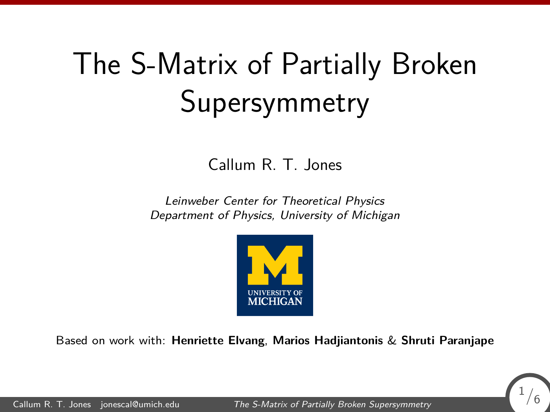# <span id="page-0-0"></span>The S-Matrix of Partially Broken Supersymmetry

Callum R. T. Jones

Leinweber Center for Theoretical Physics Department of Physics, University of Michigan



Based on work with: **Henriette Elvang**, **Marios Hadjiantonis** & **Shruti Paranjape**

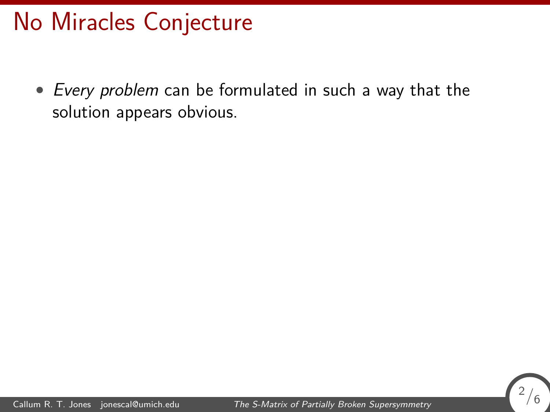## No Miracles Conjecture

• Every problem can be formulated in such a way that the solution appears obvious.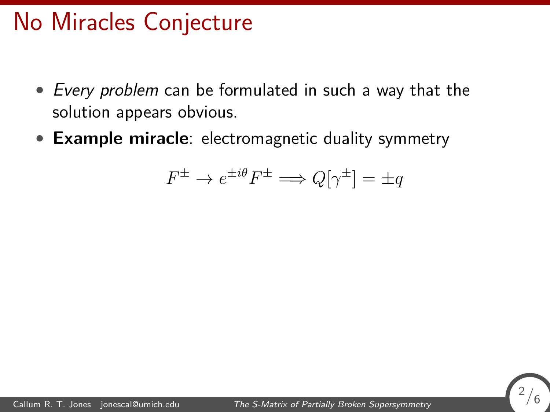## No Miracles Conjecture

- Every problem can be formulated in such a way that the solution appears obvious.
- **Example miracle**: electromagnetic duality symmetry

$$
F^{\pm} \to e^{\pm i\theta} F^{\pm} \Longrightarrow Q[\gamma^{\pm}] = \pm q
$$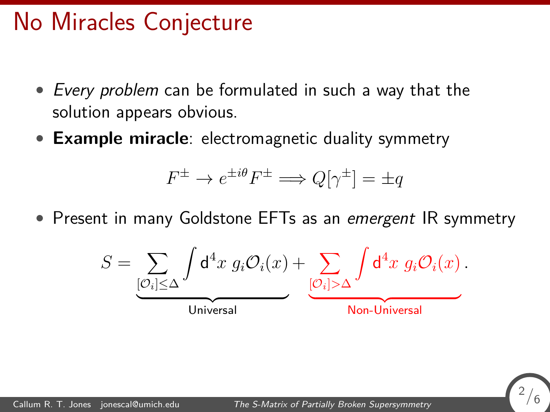## No Miracles Conjecture

- Every problem can be formulated in such a way that the solution appears obvious.
- **Example miracle**: electromagnetic duality symmetry

$$
F^{\pm} \to e^{\pm i\theta} F^{\pm} \Longrightarrow Q[\gamma^{\pm}] = \pm q
$$

• Present in many Goldstone EFTs as an emergent IR symmetry



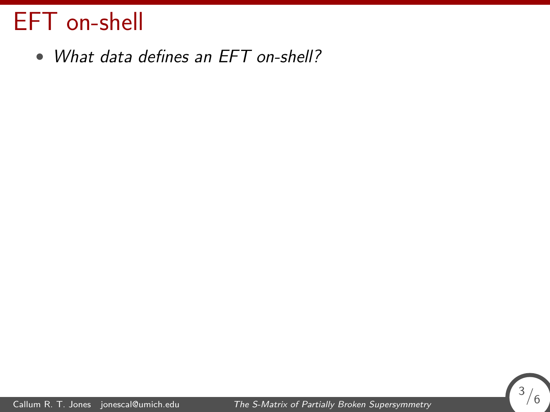• What data defines an EFT on-shell?

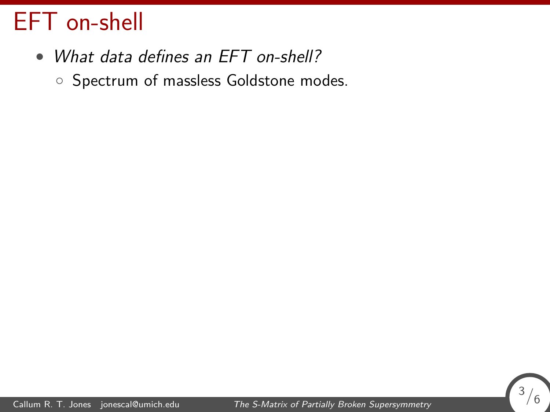- What data defines an EFT on-shell?
	- Spectrum of massless Goldstone modes.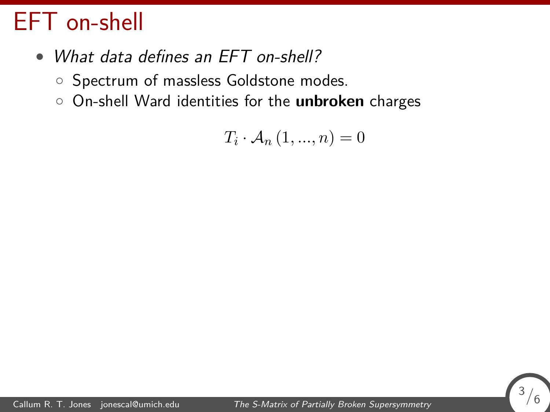- What data defines an EFT on-shell?
	- Spectrum of massless Goldstone modes.
	- On-shell Ward identities for the **unbroken** charges

 $T_i \cdot A_n (1, ..., n) = 0$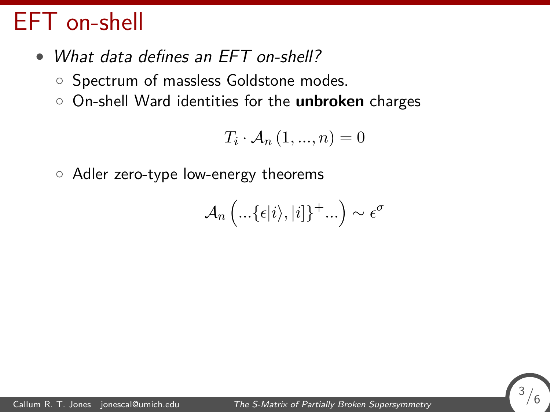- What data defines an EFT on-shell?
	- Spectrum of massless Goldstone modes.
	- On-shell Ward identities for the **unbroken** charges

$$
T_i \cdot \mathcal{A}_n \left(1, \ldots, n\right) = 0
$$

◦ Adler zero-type low-energy theorems

$$
\mathcal{A}_n\left( \ldots\{\epsilon |i\rangle,|i|\}^+ \ldots\right) \sim \epsilon^{\sigma}
$$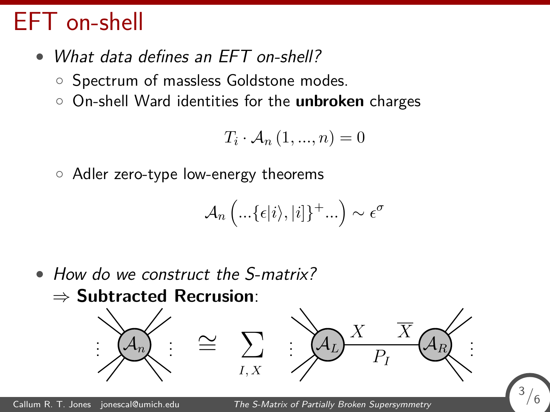- What data defines an EFT on-shell?
	- Spectrum of massless Goldstone modes.
	- On-shell Ward identities for the **unbroken** charges

$$
T_i \cdot \mathcal{A}_n \left(1, \ldots, n\right) = 0
$$

◦ Adler zero-type low-energy theorems

$$
\mathcal{A}_n\left( \ldots\{\epsilon |i\rangle,|i|\}^+ \ldots\right) \sim \epsilon^{\sigma}
$$

• How do we construct the S-matrix? ⇒ **Subtracted Recrusion**:



<sup>3</sup>*/*6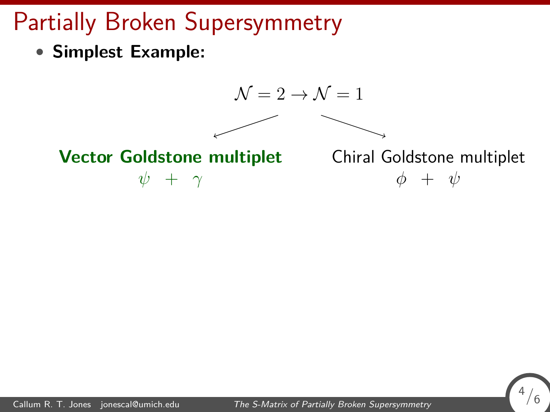# Partially Broken Supersymmetry

• **Simplest Example:**



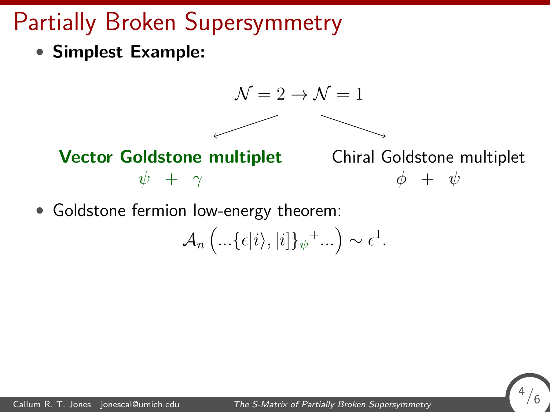# Partially Broken Supersymmetry

• **Simplest Example:**



• Goldstone fermion low-energy theorem:

$$
\mathcal{A}_n\left(\ldots\{\epsilon|i\rangle,|i|\}_{\psi}{}^+\ldots\right)\sim\epsilon^1.
$$

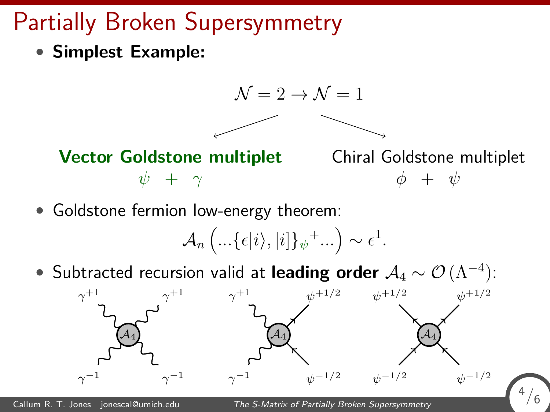# Partially Broken Supersymmetry

• **Simplest Example:**



• Goldstone fermion low-energy theorem:

 $\mathcal{A}_n \left( ... \{ \epsilon | i \rangle, | i ] \}_{\psi}^+ ... \right) \sim \epsilon^1.$ 

• Subtracted recursion valid at **leading order** A<sup>4</sup> ∼ O (Λ<sup>−</sup><sup>4</sup> ):

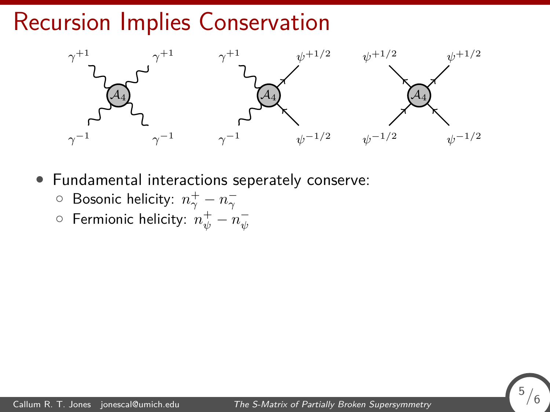#### Recursion Implies Conservation



- Fundamental interactions seperately conserve:
	- $\circ$  Bosonic helicity:  $n^{+}_{\gamma}-n^{-}_{\gamma}$
	- $\circ$  Fermionic helicity:  $n_\psi^+ n_\psi^-$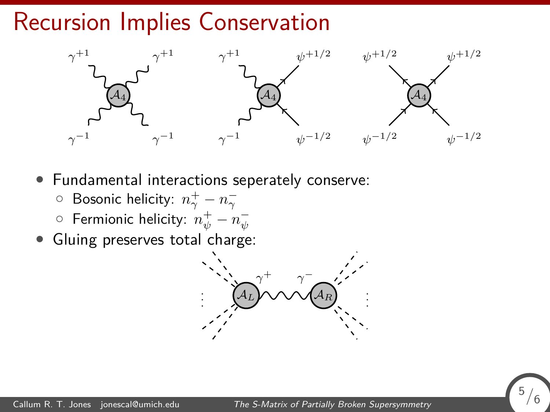#### Recursion Implies Conservation



- Fundamental interactions seperately conserve:
	- $\circ$  Bosonic helicity:  $n^{+}_{\gamma}-n^{-}_{\gamma}$
	- $\circ$  Fermionic helicity:  $n_\psi^+ n_\psi^-$
- Gluing preserves total charge:



<sup>5</sup>*/*6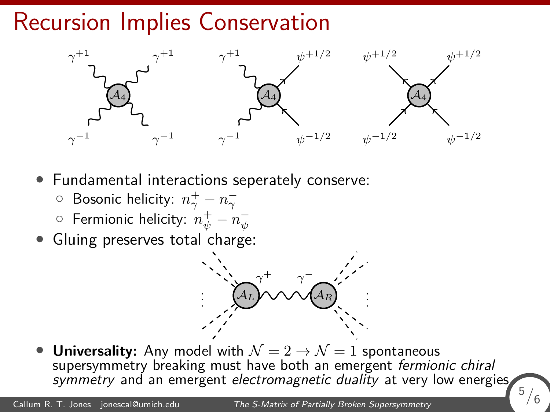#### Recursion Implies Conservation



- Fundamental interactions seperately conserve:
	- $\circ$  Bosonic helicity:  $n^{+}_{\gamma}-n^{-}_{\gamma}$
	- $\circ$  Fermionic helicity:  $n_\psi^+ n_\psi^-$
- Gluing preserves total charge:



**Universality:** Any model with  $\mathcal{N} = 2 \rightarrow \mathcal{N} = 1$  spontaneous supersymmetry breaking must have both an emergent fermionic chiral symmetry and an emergent electromagnetic duality at very low energies.

<sup>5</sup>*/*6